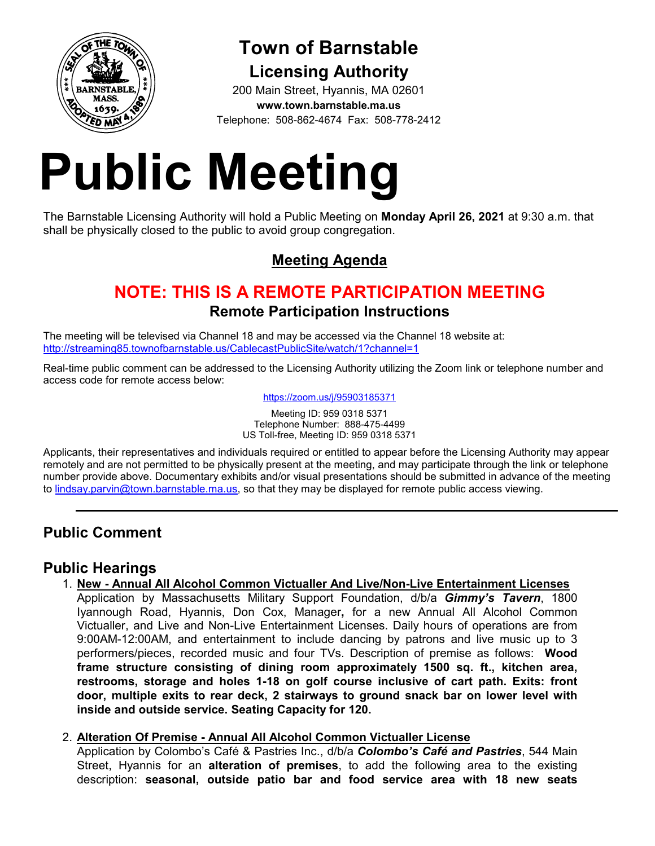

# **Town of Barnstable Licensing Authority**

200 Main Street, Hyannis, MA 02601 **www.town.barnstable.ma.us** Telephone: 508-862-4674 Fax: 508-778-2412

# **Public Meeting**

The Barnstable Licensing Authority will hold a Public Meeting on **Monday April 26, 2021** at 9:30 a.m. that shall be physically closed to the public to avoid group congregation.

# **Meeting Agenda**

# **NOTE: THIS IS A REMOTE PARTICIPATION MEETING Remote Participation Instructions**

The meeting will be televised via Channel 18 and may be accessed via the Channel 18 website at: http://streaming85.townofbarnstable.us/CablecastPublicSite/watch/1?channel=1

Real-time public comment can be addressed to the Licensing Authority utilizing the Zoom link or telephone number and access code for remote access below:

https://zoom.us/j/95903185371

Meeting ID: 959 0318 5371 Telephone Number: 888-475-4499 US Toll-free, Meeting ID: 959 0318 5371

Applicants, their representatives and individuals required or entitled to appear before the Licensing Authority may appear remotely and are not permitted to be physically present at the meeting, and may participate through the link or telephone number provide above. Documentary exhibits and/or visual presentations should be submitted in advance of the meeting to lindsay.parvin@town.barnstable.ma.us, so that they may be displayed for remote public access viewing.

## **Public Comment**

## **Public Hearings**

1. **New - Annual All Alcohol Common Victualler And Live/Non-Live Entertainment Licenses**  Application by Massachusetts Military Support Foundation, d/b/a *Gimmy's Tavern*, 1800

Iyannough Road, Hyannis, Don Cox, Manager**,** for a new Annual All Alcohol Common Victualler, and Live and Non-Live Entertainment Licenses. Daily hours of operations are from 9:00AM-12:00AM, and entertainment to include dancing by patrons and live music up to 3 performers/pieces, recorded music and four TVs. Description of premise as follows: **Wood frame structure consisting of dining room approximately 1500 sq. ft., kitchen area, restrooms, storage and holes 1-18 on golf course inclusive of cart path. Exits: front door, multiple exits to rear deck, 2 stairways to ground snack bar on lower level with inside and outside service. Seating Capacity for 120.** 

#### 2. **Alteration Of Premise - Annual All Alcohol Common Victualler License**

Application by Colombo's Café & Pastries Inc., d/b/a *Colombo's Café and Pastries*, 544 Main Street, Hyannis for an **alteration of premises**, to add the following area to the existing description: **seasonal, outside patio bar and food service area with 18 new seats**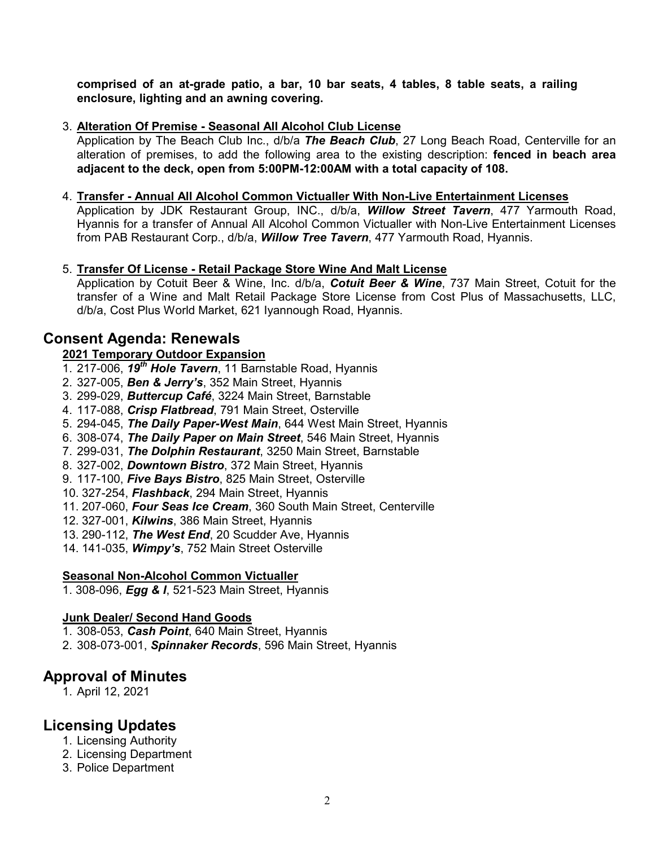**comprised of an at-grade patio, a bar, 10 bar seats, 4 tables, 8 table seats, a railing enclosure, lighting and an awning covering.** 

#### 3. **Alteration Of Premise - Seasonal All Alcohol Club License**

Application by The Beach Club Inc., d/b/a *The Beach Club*, 27 Long Beach Road, Centerville for an alteration of premises, to add the following area to the existing description: **fenced in beach area adjacent to the deck, open from 5:00PM-12:00AM with a total capacity of 108.** 

#### 4. **Transfer - Annual All Alcohol Common Victualler With Non-Live Entertainment Licenses**

Application by JDK Restaurant Group, INC., d/b/a, *Willow Street Tavern*, 477 Yarmouth Road, Hyannis for a transfer of Annual All Alcohol Common Victualler with Non-Live Entertainment Licenses from PAB Restaurant Corp., d/b/a, *Willow Tree Tavern*, 477 Yarmouth Road, Hyannis.

#### 5. **Transfer Of License - Retail Package Store Wine And Malt License**

Application by Cotuit Beer & Wine, Inc. d/b/a, *Cotuit Beer & Wine*, 737 Main Street, Cotuit for the transfer of a Wine and Malt Retail Package Store License from Cost Plus of Massachusetts, LLC, d/b/a, Cost Plus World Market, 621 Iyannough Road, Hyannis.

### **Consent Agenda: Renewals**

#### **2021 Temporary Outdoor Expansion**

- 1. 217-006, *19th Hole Tavern*, 11 Barnstable Road, Hyannis
- 2. 327-005, *Ben & Jerry's*, 352 Main Street, Hyannis
- 3. 299-029, *Buttercup Café*, 3224 Main Street, Barnstable
- 4. 117-088, *Crisp Flatbread*, 791 Main Street, Osterville
- 5. 294-045, *The Daily Paper-West Main*, 644 West Main Street, Hyannis
- 6. 308-074, *The Daily Paper on Main Street*, 546 Main Street, Hyannis
- 7. 299-031, *The Dolphin Restaurant*, 3250 Main Street, Barnstable
- 8. 327-002, *Downtown Bistro*, 372 Main Street, Hyannis
- 9. 117-100, *Five Bays Bistro*, 825 Main Street, Osterville
- 10. 327-254, *Flashback*, 294 Main Street, Hyannis
- 11. 207-060, *Four Seas Ice Cream*, 360 South Main Street, Centerville
- 12. 327-001, *Kilwins*, 386 Main Street, Hyannis
- 13. 290-112, *The West End*, 20 Scudder Ave, Hyannis
- 14. 141-035, *Wimpy's*, 752 Main Street Osterville

#### **Seasonal Non-Alcohol Common Victualler**

1. 308-096, *Egg & I*, 521-523 Main Street, Hyannis

#### **Junk Dealer/ Second Hand Goods**

- 1. 308-053, *Cash Point*, 640 Main Street, Hyannis
- 2. 308-073-001, *Spinnaker Records*, 596 Main Street, Hyannis

#### **Approval of Minutes**

1. April 12, 2021

## **Licensing Updates**

- 1. Licensing Authority
- 2. Licensing Department
- 3. Police Department